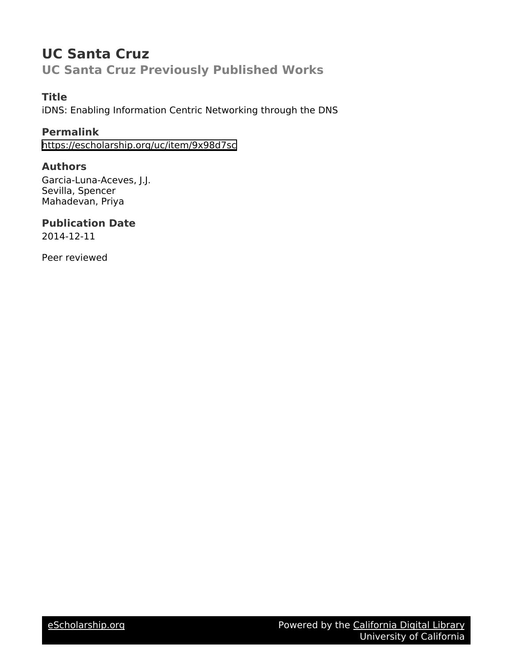## **UC Santa Cruz UC Santa Cruz Previously Published Works**

## **Title**

iDNS: Enabling Information Centric Networking through the DNS

## **Permalink**

<https://escholarship.org/uc/item/9x98d7sc>

## **Authors**

Garcia-Luna-Aceves, J.J. Sevilla, Spencer Mahadevan, Priya

## **Publication Date**

2014-12-11

Peer reviewed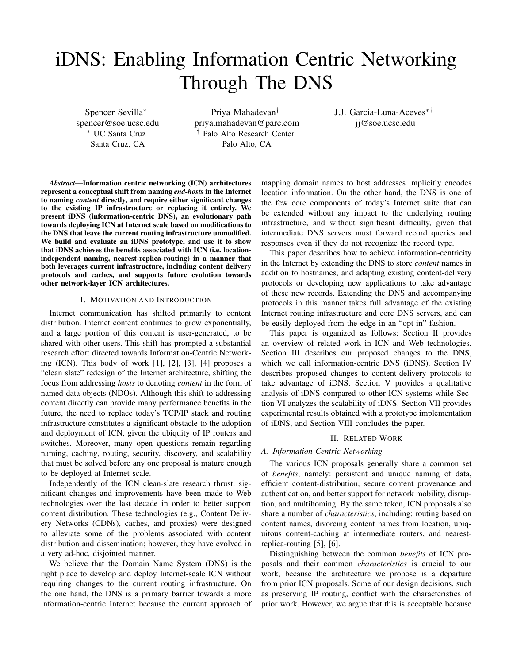# iDNS: Enabling Information Centric Networking Through The DNS

Spencer Sevilla<sup>∗</sup> spencer@soe.ucsc.edu <sup>∗</sup> UC Santa Cruz Santa Cruz, CA

Priya Mahadevan† priya.mahadevan@parc.com † Palo Alto Research Center Palo Alto, CA

J.J. Garcia-Luna-Aceves∗† jj@soe.ucsc.edu

*Abstract*—Information centric networking (ICN) architectures represent a conceptual shift from naming *end-hosts* in the Internet to naming *content* directly, and require either significant changes to the existing IP infrastructure or replacing it entirely. We present iDNS (information-centric DNS), an evolutionary path towards deploying ICN at Internet scale based on modifications to the DNS that leave the current routing infrastructure unmodified. We build and evaluate an iDNS prototype, and use it to show that iDNS achieves the benefits associated with ICN (i.e. locationindependent naming, nearest-replica-routing) in a manner that both leverages current infrastructure, including content delivery protocols and caches, and supports future evolution towards other network-layer ICN architectures.

#### I. MOTIVATION AND INTRODUCTION

Internet communication has shifted primarily to content distribution. Internet content continues to grow exponentially, and a large portion of this content is user-generated, to be shared with other users. This shift has prompted a substantial research effort directed towards Information-Centric Networking (ICN). This body of work [1], [2], [3], [4] proposes a "clean slate" redesign of the Internet architecture, shifting the focus from addressing *hosts* to denoting *content* in the form of named-data objects (NDOs). Although this shift to addressing content directly can provide many performance benefits in the future, the need to replace today's TCP/IP stack and routing infrastructure constitutes a significant obstacle to the adoption and deployment of ICN, given the ubiquity of IP routers and switches. Moreover, many open questions remain regarding naming, caching, routing, security, discovery, and scalability that must be solved before any one proposal is mature enough to be deployed at Internet scale.

Independently of the ICN clean-slate research thrust, significant changes and improvements have been made to Web technologies over the last decade in order to better support content distribution. These technologies (e.g., Content Delivery Networks (CDNs), caches, and proxies) were designed to alleviate some of the problems associated with content distribution and dissemination; however, they have evolved in a very ad-hoc, disjointed manner.

We believe that the Domain Name System (DNS) is the right place to develop and deploy Internet-scale ICN without requiring changes to the current routing infrastructure. On the one hand, the DNS is a primary barrier towards a more information-centric Internet because the current approach of mapping domain names to host addresses implicitly encodes location information. On the other hand, the DNS is one of the few core components of today's Internet suite that can be extended without any impact to the underlying routing infrastructure, and without significant difficulty, given that intermediate DNS servers must forward record queries and responses even if they do not recognize the record type.

This paper describes how to achieve information-centricity in the Internet by extending the DNS to store *content* names in addition to hostnames, and adapting existing content-delivery protocols or developing new applications to take advantage of these new records. Extending the DNS and accompanying protocols in this manner takes full advantage of the existing Internet routing infrastructure and core DNS servers, and can be easily deployed from the edge in an "opt-in" fashion.

This paper is organized as follows: Section II provides an overview of related work in ICN and Web technologies. Section III describes our proposed changes to the DNS, which we call information-centric DNS (iDNS). Section IV describes proposed changes to content-delivery protocols to take advantage of iDNS. Section V provides a qualitative analysis of iDNS compared to other ICN systems while Section VI analyzes the scalability of iDNS. Section VII provides experimental results obtained with a prototype implementation of iDNS, and Section VIII concludes the paper.

#### II. RELATED WORK

#### *A. Information Centric Networking*

The various ICN proposals generally share a common set of *benefits*, namely: persistent and unique naming of data, efficient content-distribution, secure content provenance and authentication, and better support for network mobility, disruption, and multihoming. By the same token, ICN proposals also share a number of *characteristics*, including: routing based on content names, divorcing content names from location, ubiquitous content-caching at intermediate routers, and nearestreplica-routing [5], [6].

Distinguishing between the common *benefits* of ICN proposals and their common *characteristics* is crucial to our work, because the architecture we propose is a departure from prior ICN proposals. Some of our design decisions, such as preserving IP routing, conflict with the characteristics of prior work. However, we argue that this is acceptable because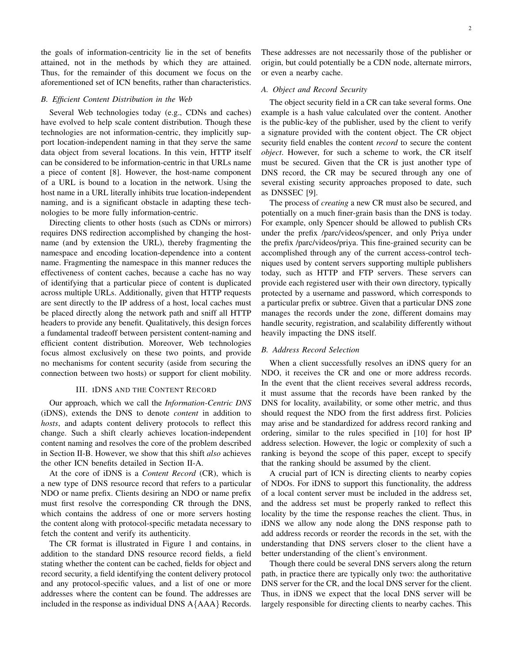the goals of information-centricity lie in the set of benefits attained, not in the methods by which they are attained. Thus, for the remainder of this document we focus on the aforementioned set of ICN benefits, rather than characteristics.

#### *B. Efficient Content Distribution in the Web*

Several Web technologies today (e.g., CDNs and caches) have evolved to help scale content distribution. Though these technologies are not information-centric, they implicitly support location-independent naming in that they serve the same data object from several locations. In this vein, HTTP itself can be considered to be information-centric in that URLs name a piece of content [8]. However, the host-name component of a URL is bound to a location in the network. Using the host name in a URL literally inhibits true location-independent naming, and is a significant obstacle in adapting these technologies to be more fully information-centric.

Directing clients to other hosts (such as CDNs or mirrors) requires DNS redirection accomplished by changing the hostname (and by extension the URL), thereby fragmenting the namespace and encoding location-dependence into a content name. Fragmenting the namespace in this manner reduces the effectiveness of content caches, because a cache has no way of identifying that a particular piece of content is duplicated across multiple URLs. Additionally, given that HTTP requests are sent directly to the IP address of a host, local caches must be placed directly along the network path and sniff all HTTP headers to provide any benefit. Qualitatively, this design forces a fundamental tradeoff between persistent content-naming and efficient content distribution. Moreover, Web technologies focus almost exclusively on these two points, and provide no mechanisms for content security (aside from securing the connection between two hosts) or support for client mobility.

#### III. IDNS AND THE CONTENT RECORD

Our approach, which we call the *Information-Centric DNS* (iDNS), extends the DNS to denote *content* in addition to *hosts*, and adapts content delivery protocols to reflect this change. Such a shift clearly achieves location-independent content naming and resolves the core of the problem described in Section II-B. However, we show that this shift *also* achieves the other ICN benefits detailed in Section II-A.

At the core of iDNS is a *Content Record* (CR), which is a new type of DNS resource record that refers to a particular NDO or name prefix. Clients desiring an NDO or name prefix must first resolve the corresponding CR through the DNS, which contains the address of one or more servers hosting the content along with protocol-specific metadata necessary to fetch the content and verify its authenticity.

The CR format is illustrated in Figure 1 and contains, in addition to the standard DNS resource record fields, a field stating whether the content can be cached, fields for object and record security, a field identifying the content delivery protocol and any protocol-specific values, and a list of one or more addresses where the content can be found. The addresses are included in the response as individual DNS A{AAA} Records. These addresses are not necessarily those of the publisher or origin, but could potentially be a CDN node, alternate mirrors, or even a nearby cache.

#### *A. Object and Record Security*

The object security field in a CR can take several forms. One example is a hash value calculated over the content. Another is the public-key of the publisher, used by the client to verify a signature provided with the content object. The CR object security field enables the content *record* to secure the content *object*. However, for such a scheme to work, the CR itself must be secured. Given that the CR is just another type of DNS record, the CR may be secured through any one of several existing security approaches proposed to date, such as DNSSEC [9].

The process of *creating* a new CR must also be secured, and potentially on a much finer-grain basis than the DNS is today. For example, only Spencer should be allowed to publish CRs under the prefix /parc/videos/spencer, and only Priya under the prefix /parc/videos/priya. This fine-grained security can be accomplished through any of the current access-control techniques used by content servers supporting multiple publishers today, such as HTTP and FTP servers. These servers can provide each registered user with their own directory, typically protected by a username and password, which corresponds to a particular prefix or subtree. Given that a particular DNS zone manages the records under the zone, different domains may handle security, registration, and scalability differently without heavily impacting the DNS itself.

#### *B. Address Record Selection*

When a client successfully resolves an iDNS query for an NDO, it receives the CR and one or more address records. In the event that the client receives several address records, it must assume that the records have been ranked by the DNS for locality, availability, or some other metric, and thus should request the NDO from the first address first. Policies may arise and be standardized for address record ranking and ordering, similar to the rules specified in [10] for host IP address selection. However, the logic or complexity of such a ranking is beyond the scope of this paper, except to specify that the ranking should be assumed by the client.

A crucial part of ICN is directing clients to nearby copies of NDOs. For iDNS to support this functionality, the address of a local content server must be included in the address set, and the address set must be properly ranked to reflect this locality by the time the response reaches the client. Thus, in iDNS we allow any node along the DNS response path to add address records or reorder the records in the set, with the understanding that DNS servers closer to the client have a better understanding of the client's environment.

Though there could be several DNS servers along the return path, in practice there are typically only two: the authoritative DNS server for the CR, and the local DNS server for the client. Thus, in iDNS we expect that the local DNS server will be largely responsible for directing clients to nearby caches. This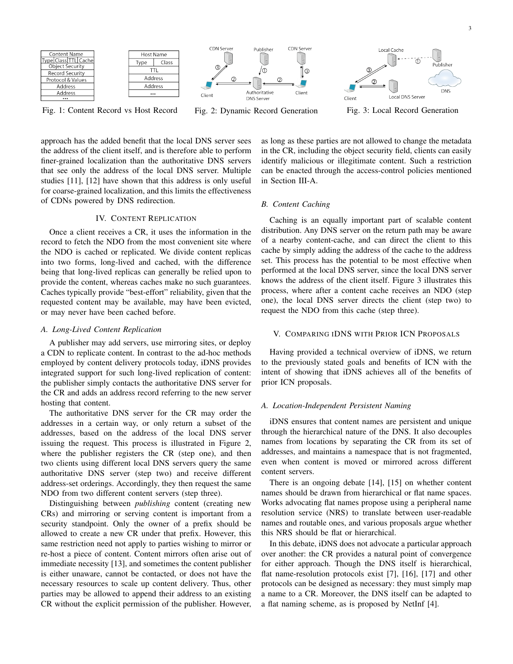

Fig. 1: Content Record vs Host Record Fig. 2: Dynamic Record Generation Fig. 3: Local Record Generation



approach has the added benefit that the local DNS server sees the address of the client itself, and is therefore able to perform finer-grained localization than the authoritative DNS servers that see only the address of the local DNS server. Multiple studies [11], [12] have shown that this address is only useful for coarse-grained localization, and this limits the effectiveness of CDNs powered by DNS redirection.

#### IV. CONTENT REPLICATION

Once a client receives a CR, it uses the information in the record to fetch the NDO from the most convenient site where the NDO is cached or replicated. We divide content replicas into two forms, long-lived and cached, with the difference being that long-lived replicas can generally be relied upon to provide the content, whereas caches make no such guarantees. Caches typically provide "best-effort" reliability, given that the requested content may be available, may have been evicted, or may never have been cached before.

#### *A. Long-Lived Content Replication*

A publisher may add servers, use mirroring sites, or deploy a CDN to replicate content. In contrast to the ad-hoc methods employed by content delivery protocols today, iDNS provides integrated support for such long-lived replication of content: the publisher simply contacts the authoritative DNS server for the CR and adds an address record referring to the new server hosting that content.

The authoritative DNS server for the CR may order the addresses in a certain way, or only return a subset of the addresses, based on the address of the local DNS server issuing the request. This process is illustrated in Figure 2, where the publisher registers the CR (step one), and then two clients using different local DNS servers query the same authoritative DNS server (step two) and receive different address-set orderings. Accordingly, they then request the same NDO from two different content servers (step three).

Distinguishing between *publishing* content (creating new CRs) and mirroring or serving content is important from a security standpoint. Only the owner of a prefix should be allowed to create a new CR under that prefix. However, this same restriction need not apply to parties wishing to mirror or re-host a piece of content. Content mirrors often arise out of immediate necessity [13], and sometimes the content publisher is either unaware, cannot be contacted, or does not have the necessary resources to scale up content delivery. Thus, other parties may be allowed to append their address to an existing CR without the explicit permission of the publisher. However,

as long as these parties are not allowed to change the metadata in the CR, including the object security field, clients can easily identify malicious or illegitimate content. Such a restriction can be enacted through the access-control policies mentioned in Section III-A.

#### *B. Content Caching*

Caching is an equally important part of scalable content distribution. Any DNS server on the return path may be aware of a nearby content-cache, and can direct the client to this cache by simply adding the address of the cache to the address set. This process has the potential to be most effective when performed at the local DNS server, since the local DNS server knows the address of the client itself. Figure 3 illustrates this process, where after a content cache receives an NDO (step one), the local DNS server directs the client (step two) to request the NDO from this cache (step three).

#### V. COMPARING IDNS WITH PRIOR ICN PROPOSALS

Having provided a technical overview of iDNS, we return to the previously stated goals and benefits of ICN with the intent of showing that iDNS achieves all of the benefits of prior ICN proposals.

#### *A. Location-Independent Persistent Naming*

iDNS ensures that content names are persistent and unique through the hierarchical nature of the DNS. It also decouples names from locations by separating the CR from its set of addresses, and maintains a namespace that is not fragmented, even when content is moved or mirrored across different content servers.

There is an ongoing debate [14], [15] on whether content names should be drawn from hierarchical or flat name spaces. Works advocating flat names propose using a peripheral name resolution service (NRS) to translate between user-readable names and routable ones, and various proposals argue whether this NRS should be flat or hierarchical.

In this debate, iDNS does not advocate a particular approach over another: the CR provides a natural point of convergence for either approach. Though the DNS itself is hierarchical, flat name-resolution protocols exist [7], [16], [17] and other protocols can be designed as necessary: they must simply map a name to a CR. Moreover, the DNS itself can be adapted to a flat naming scheme, as is proposed by NetInf [4].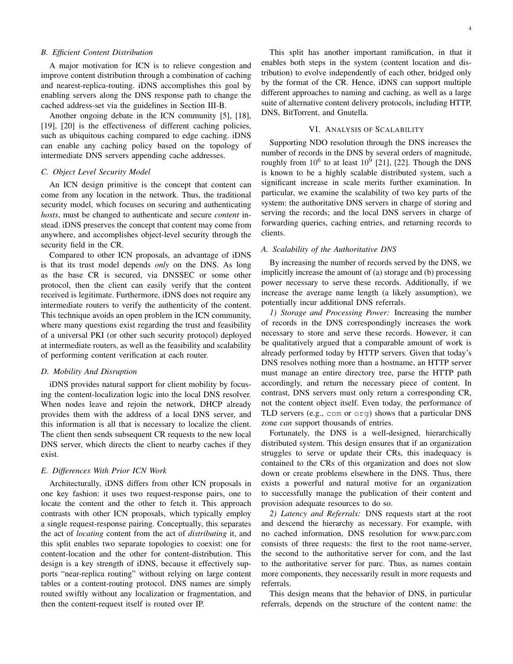#### *B. Efficient Content Distribution*

A major motivation for ICN is to relieve congestion and improve content distribution through a combination of caching and nearest-replica-routing. iDNS accomplishes this goal by enabling servers along the DNS response path to change the cached address-set via the guidelines in Section III-B.

Another ongoing debate in the ICN community [5], [18], [19], [20] is the effectiveness of different caching policies, such as ubiquitous caching compared to edge caching. iDNS can enable any caching policy based on the topology of intermediate DNS servers appending cache addresses.

#### *C. Object Level Security Model*

An ICN design primitive is the concept that content can come from any location in the network. Thus, the traditional security model, which focuses on securing and authenticating *hosts*, must be changed to authenticate and secure *content* instead. iDNS preserves the concept that content may come from anywhere, and accomplishes object-level security through the security field in the CR.

Compared to other ICN proposals, an advantage of iDNS is that its trust model depends *only* on the DNS. As long as the base CR is secured, via DNSSEC or some other protocol, then the client can easily verify that the content received is legitimate. Furthermore, iDNS does not require any intermediate routers to verify the authenticity of the content. This technique avoids an open problem in the ICN community, where many questions exist regarding the trust and feasibility of a universal PKI (or other such security protocol) deployed at intermediate routers, as well as the feasibility and scalability of performing content verification at each router.

#### *D. Mobility And Disruption*

iDNS provides natural support for client mobility by focusing the content-localization logic into the local DNS resolver. When nodes leave and rejoin the network, DHCP already provides them with the address of a local DNS server, and this information is all that is necessary to localize the client. The client then sends subsequent CR requests to the new local DNS server, which directs the client to nearby caches if they exist.

#### *E. Differences With Prior ICN Work*

Architecturally, iDNS differs from other ICN proposals in one key fashion: it uses two request-response pairs, one to locate the content and the other to fetch it. This approach contrasts with other ICN proposals, which typically employ a single request-response pairing. Conceptually, this separates the act of *locating* content from the act of *distributing* it, and this split enables two separate topologies to coexist: one for content-location and the other for content-distribution. This design is a key strength of iDNS, because it effectively supports "near-replica routing" without relying on large content tables or a content-routing protocol. DNS names are simply routed swiftly without any localization or fragmentation, and then the content-request itself is routed over IP.

This split has another important ramification, in that it enables both steps in the system (content location and distribution) to evolve independently of each other, bridged only by the format of the CR. Hence, iDNS can support multiple different approaches to naming and caching, as well as a large suite of alternative content delivery protocols, including HTTP, DNS, BitTorrent, and Gnutella.

#### VI. ANALYSIS OF SCALABILITY

Supporting NDO resolution through the DNS increases the number of records in the DNS by several orders of magnitude, roughly from  $10^6$  to at least  $10^9$  [21], [22]. Though the DNS is known to be a highly scalable distributed system, such a significant increase in scale merits further examination. In particular, we examine the scalability of two key parts of the system: the authoritative DNS servers in charge of storing and serving the records; and the local DNS servers in charge of forwarding queries, caching entries, and returning records to clients.

#### *A. Scalability of the Authoritative DNS*

By increasing the number of records served by the DNS, we implicitly increase the amount of (a) storage and (b) processing power necessary to serve these records. Additionally, if we increase the average name length (a likely assumption), we potentially incur additional DNS referrals.

*1) Storage and Processing Power:* Increasing the number of records in the DNS correspondingly increases the work necessary to store and serve these records. However, it can be qualitatively argued that a comparable amount of work is already performed today by HTTP servers. Given that today's DNS resolves nothing more than a hostname, an HTTP server must manage an entire directory tree, parse the HTTP path accordingly, and return the necessary piece of content. In contrast, DNS servers must only return a corresponding CR, not the content object itself. Even today, the performance of TLD servers (e.g., com or org) shows that a particular DNS zone *can* support thousands of entries.

Fortunately, the DNS is a well-designed, hierarchically distributed system. This design ensures that if an organization struggles to serve or update their CRs, this inadequacy is contained to the CRs of this organization and does not slow down or create problems elsewhere in the DNS. Thus, there exists a powerful and natural motive for an organization to successfully manage the publication of their content and provision adequate resources to do so.

*2) Latency and Referrals:* DNS requests start at the root and descend the hierarchy as necessary. For example, with no cached information, DNS resolution for www.parc.com consists of three requests: the first to the root name-server, the second to the authoritative server for com, and the last to the authoritative server for parc. Thus, as names contain more components, they necessarily result in more requests and referrals.

This design means that the behavior of DNS, in particular referrals, depends on the structure of the content name: the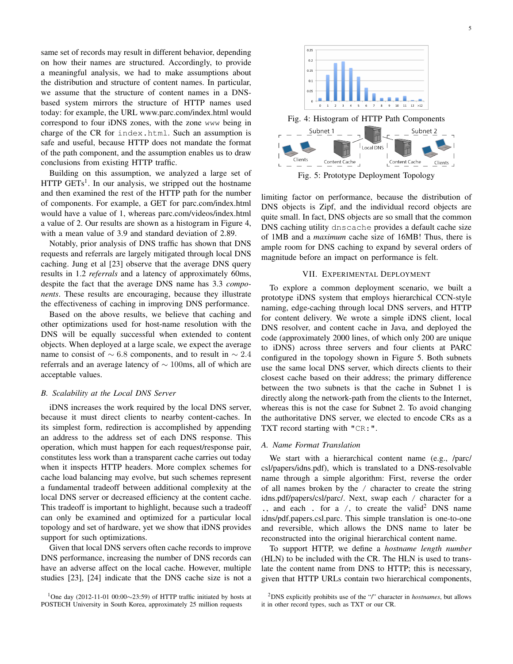same set of records may result in different behavior, depending on how their names are structured. Accordingly, to provide a meaningful analysis, we had to make assumptions about the distribution and structure of content names. In particular, we assume that the structure of content names in a DNSbased system mirrors the structure of HTTP names used today: for example, the URL www.parc.com/index.html would correspond to four iDNS zones, with the zone www being in charge of the CR for index.html. Such an assumption is safe and useful, because HTTP does not mandate the format of the path component, and the assumption enables us to draw conclusions from existing HTTP traffic.

Building on this assumption, we analyzed a large set of HTTP  $GETs<sup>1</sup>$ . In our analysis, we stripped out the hostname and then examined the rest of the HTTP path for the number of components. For example, a GET for parc.com/index.html would have a value of 1, whereas parc.com/videos/index.html a value of 2. Our results are shown as a histogram in Figure 4, with a mean value of 3.9 and standard deviation of 2.89.

Notably, prior analysis of DNS traffic has shown that DNS requests and referrals are largely mitigated through local DNS caching. Jung et al [23] observe that the average DNS query results in 1.2 *referrals* and a latency of approximately 60ms, despite the fact that the average DNS name has 3.3 *components*. These results are encouraging, because they illustrate the effectiveness of caching in improving DNS performance.

Based on the above results, we believe that caching and other optimizations used for host-name resolution with the DNS will be equally successful when extended to content objects. When deployed at a large scale, we expect the average name to consist of  $\sim$  6.8 components, and to result in  $\sim$  2.4 referrals and an average latency of  $\sim 100$ ms, all of which are acceptable values.

#### *B. Scalability at the Local DNS Server*

iDNS increases the work required by the local DNS server, because it must direct clients to nearby content-caches. In its simplest form, redirection is accomplished by appending an address to the address set of each DNS response. This operation, which must happen for each request/response pair, constitutes less work than a transparent cache carries out today when it inspects HTTP headers. More complex schemes for cache load balancing may evolve, but such schemes represent a fundamental tradeoff between additional complexity at the local DNS server or decreased efficiency at the content cache. This tradeoff is important to highlight, because such a tradeoff can only be examined and optimized for a particular local topology and set of hardware, yet we show that iDNS provides support for such optimizations.

Given that local DNS servers often cache records to improve DNS performance, increasing the number of DNS records can have an adverse affect on the local cache. However, multiple studies [23], [24] indicate that the DNS cache size is not a

<sup>1</sup>One day (2012-11-01 00:00∼23:59) of HTTP traffic initiated by hosts at POSTECH University in South Korea, approximately 25 million requests



limiting factor on performance, because the distribution of DNS objects is Zipf, and the individual record objects are quite small. In fact, DNS objects are so small that the common DNS caching utility dnscache provides a default cache size of 1MB and a *maximum* cache size of 16MB! Thus, there is ample room for DNS caching to expand by several orders of magnitude before an impact on performance is felt.

#### VII. EXPERIMENTAL DEPLOYMENT

To explore a common deployment scenario, we built a prototype iDNS system that employs hierarchical CCN-style naming, edge-caching through local DNS servers, and HTTP for content delivery. We wrote a simple iDNS client, local DNS resolver, and content cache in Java, and deployed the code (approximately 2000 lines, of which only 200 are unique to iDNS) across three servers and four clients at PARC configured in the topology shown in Figure 5. Both subnets use the same local DNS server, which directs clients to their closest cache based on their address; the primary difference between the two subnets is that the cache in Subnet 1 is directly along the network-path from the clients to the Internet, whereas this is not the case for Subnet 2. To avoid changing the authoritative DNS server, we elected to encode CRs as a TXT record starting with "CR:".

#### *A. Name Format Translation*

We start with a hierarchical content name (e.g., /parc/ csl/papers/idns.pdf), which is translated to a DNS-resolvable name through a simple algorithm: First, reverse the order of all names broken by the / character to create the string idns.pdf/papers/csl/parc/. Next, swap each / character for a ., and each . for a  $/$ , to create the valid<sup>2</sup> DNS name idns/pdf.papers.csl.parc. This simple translation is one-to-one and reversible, which allows the DNS name to later be reconstructed into the original hierarchical content name.

To support HTTP, we define a *hostname length number* (HLN) to be included with the CR. The HLN is used to translate the content name from DNS to HTTP; this is necessary, given that HTTP URLs contain two hierarchical components,

<sup>2</sup>DNS explicitly prohibits use of the "/" character in *hostnames*, but allows it in other record types, such as TXT or our CR.